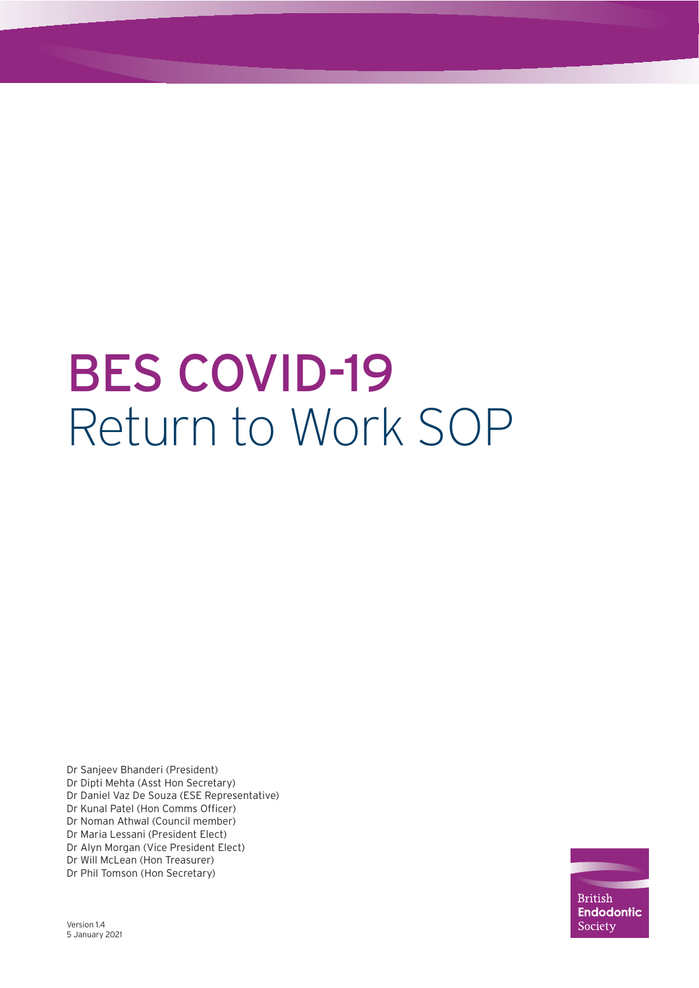# BES COVID-19 Return to Work SOP

Dr Sanjeev Bhanderi (President) Dr Dipti Mehta (Asst Hon Secretary) Dr Daniel Vaz De Souza (ESE Representative) Dr Kunal Patel (Hon Comms Officer) Dr Noman Athwal (Council member) Dr Maria Lessani (President Elect) Dr Alyn Morgan (Vice President Elect) Dr Will McLean (Hon Treasurer) Dr Phil Tomson (Hon Secretary)

Version 1.4 5 January 2021 **British Endodontic** Society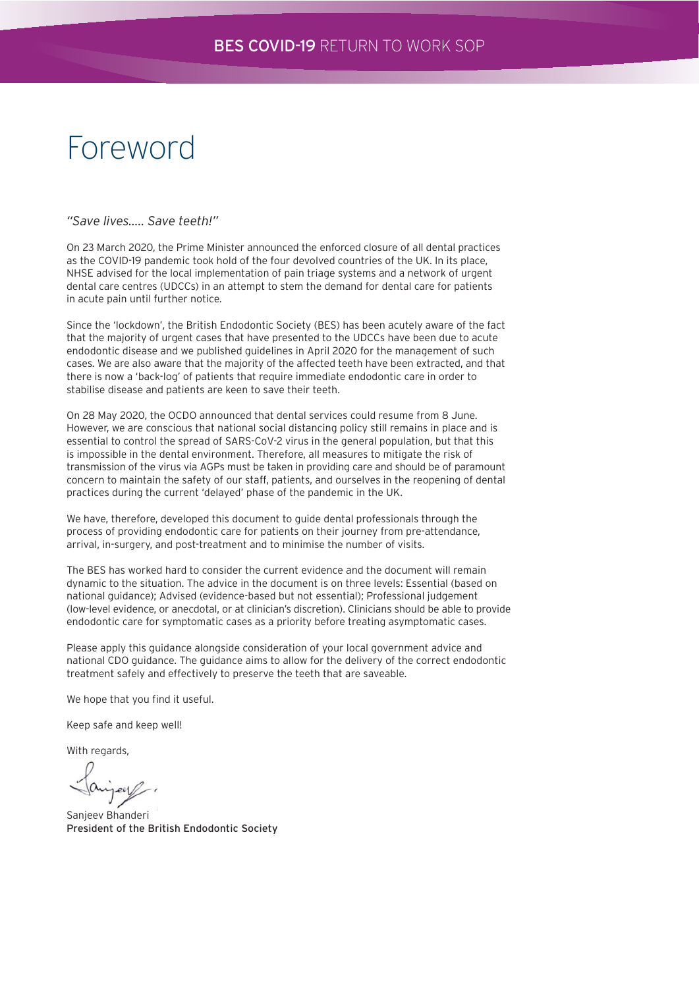## Foreword

#### *"Save lives….. Save teeth!"*

On 23 March 2020, the Prime Minister announced the enforced closure of all dental practices as the COVID-19 pandemic took hold of the four devolved countries of the UK. In its place, NHSE advised for the local implementation of pain triage systems and a network of urgent dental care centres (UDCCs) in an attempt to stem the demand for dental care for patients in acute pain until further notice.

Since the 'lockdown', the British Endodontic Society (BES) has been acutely aware of the fact that the majority of urgent cases that have presented to the UDCCs have been due to acute endodontic disease and we published guidelines in April 2020 for the management of such cases. We are also aware that the majority of the affected teeth have been extracted, and that there is now a 'back-log' of patients that require immediate endodontic care in order to stabilise disease and patients are keen to save their teeth.

On 28 May 2020, the OCDO announced that dental services could resume from 8 June. However, we are conscious that national social distancing policy still remains in place and is essential to control the spread of SARS-CoV-2 virus in the general population, but that this is impossible in the dental environment. Therefore, all measures to mitigate the risk of transmission of the virus via AGPs must be taken in providing care and should be of paramount concern to maintain the safety of our staff, patients, and ourselves in the reopening of dental practices during the current 'delayed' phase of the pandemic in the UK.

We have, therefore, developed this document to guide dental professionals through the process of providing endodontic care for patients on their journey from pre-attendance, arrival, in-surgery, and post-treatment and to minimise the number of visits.

The BES has worked hard to consider the current evidence and the document will remain dynamic to the situation. The advice in the document is on three levels: Essential (based on national guidance); Advised (evidence-based but not essential); Professional judgement (low-level evidence, or anecdotal, or at clinician's discretion). Clinicians should be able to provide endodontic care for symptomatic cases as a priority before treating asymptomatic cases.

Please apply this guidance alongside consideration of your local government advice and national CDO guidance. The guidance aims to allow for the delivery of the correct endodontic treatment safely and effectively to preserve the teeth that are saveable.

We hope that you find it useful.

Keep safe and keep well!

With regards,

Sanjeev Bhanderi President of the British Endodontic Society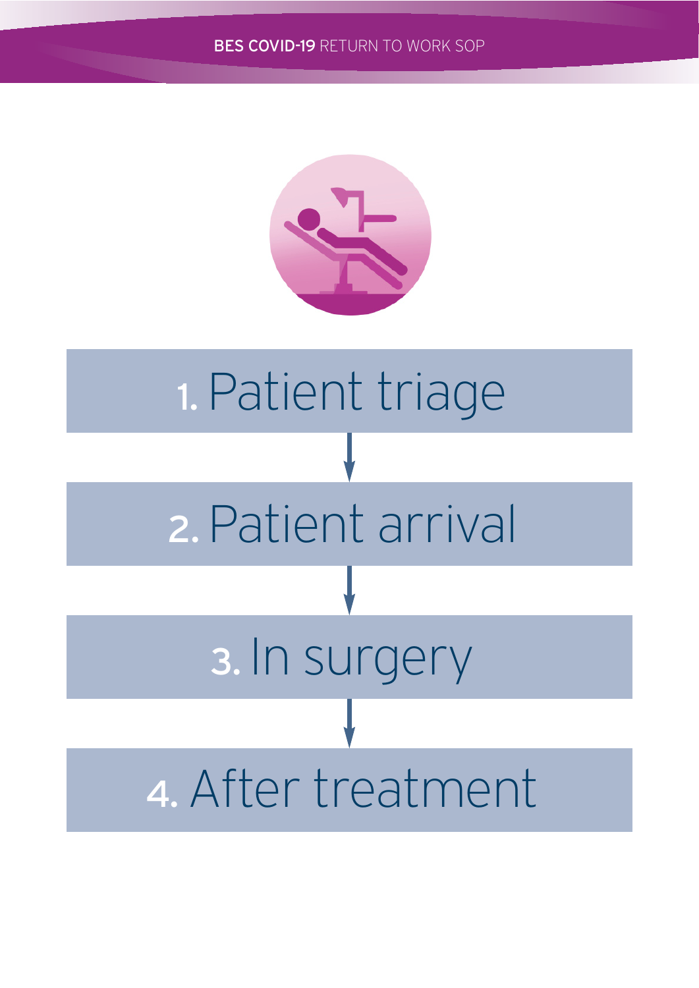BES COVID-19 RETURN TO WORK SOP

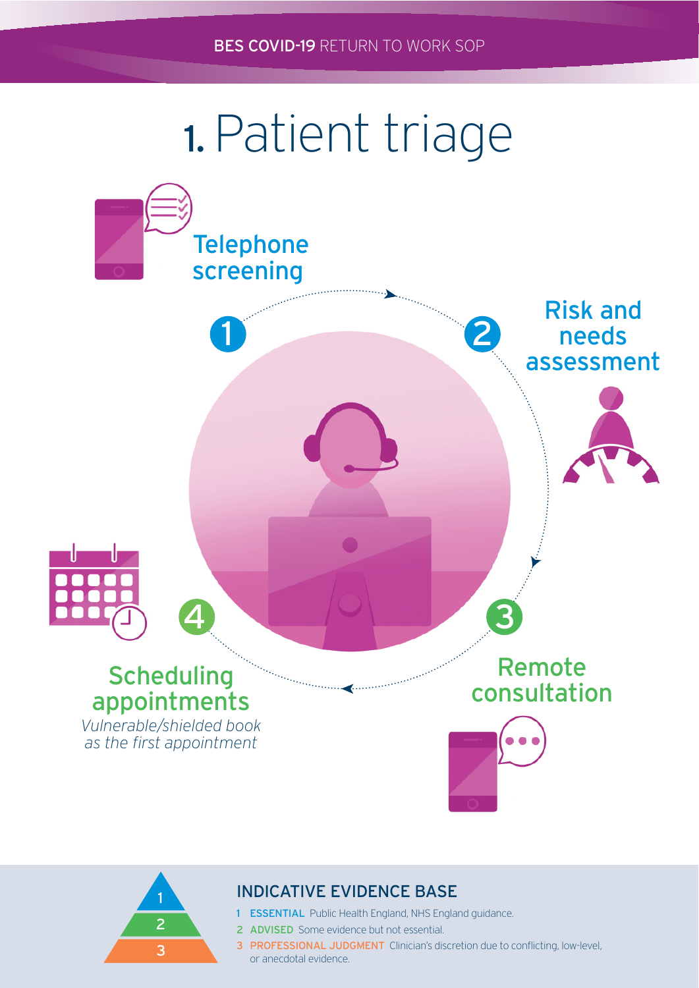# 1. Patient triage





- 1 **ESSENTIAL** Public Health England, NHS England guidance.
- 2 ADVISED Some evidence but not essential.
- 3 PROFESSIONAL JUDGMENT Clinician's discretion due to conflicting, low-level, or anecdotal evidence.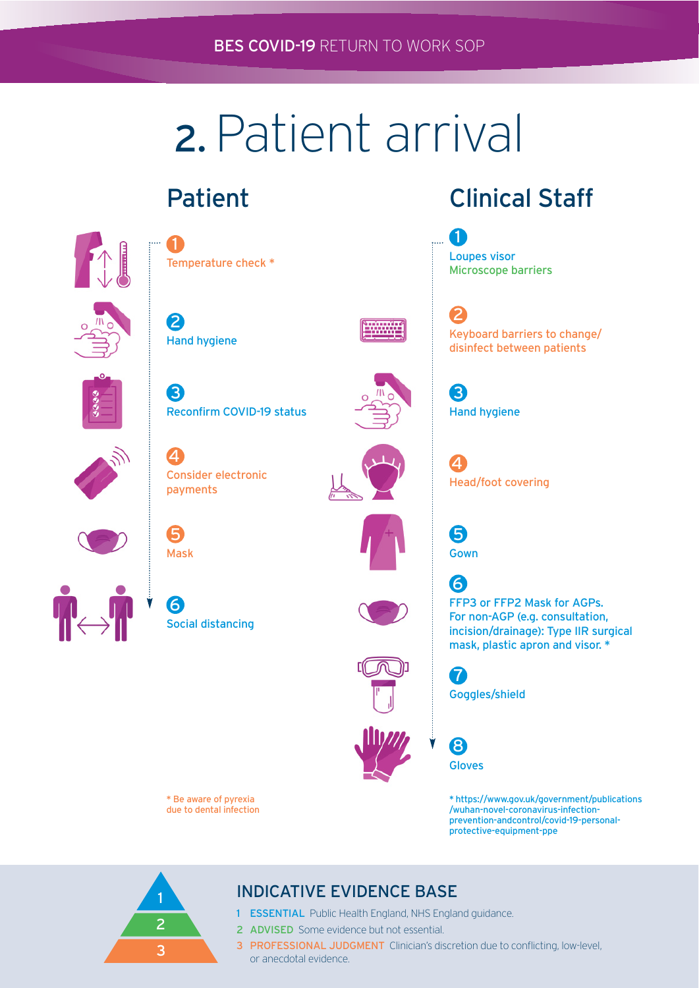# 2. Patient arrival



Temperature check \* 1









Consider electronic payments 4



Mask 5

Social distancing 6

\* Be aware of pyrexia due to dental infection







Patient Clinical Staff

Loupes visor Microscope barriers 1

Keyboard barriers to change/ disinfect between patients 2

Hand hygiene 3

Head/foot covering 4

Gown 5

6

FFP3 or FFP2 Mask for AGPs. For non-AGP (e.g. consultation, incision/drainage): Type IIR surgical mask, plastic apron and visor. \*

Goggles/shield 7

Gloves 8

\* https://www.gov.uk/government/publications /wuhan-novel-coronavirus-infectionprevention-andcontrol/covid-19-personalprotective-equipment-ppe



- 1 **ESSENTIAL** Public Health England, NHS England guidance.
- 2 ADVISED Some evidence but not essential.
- 3 PROFESSIONAL JUDGMENT Clinician's discretion due to conflicting, low-level, or anecdotal evidence.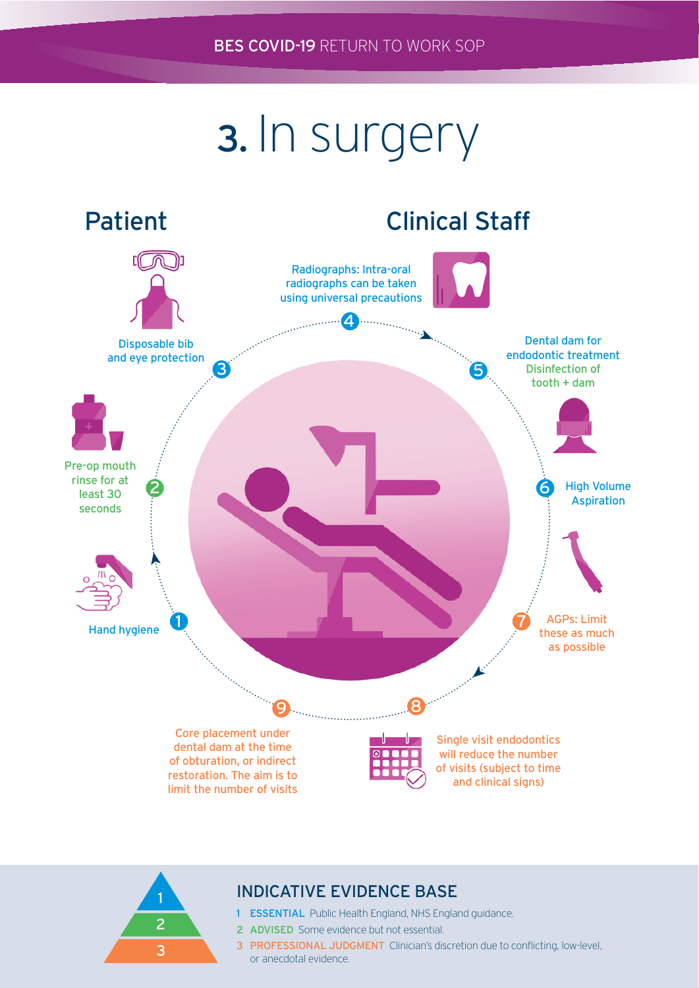# 3. In surgery





- 1 **ESSENTIAL** Public Health England, NHS England guidance.
- 2 ADVISED Some evidence but not essential.
- 3 PROFESSIONAL JUDGMENT Clinician's discretion due to conflicting, low-level, or anecdotal evidence.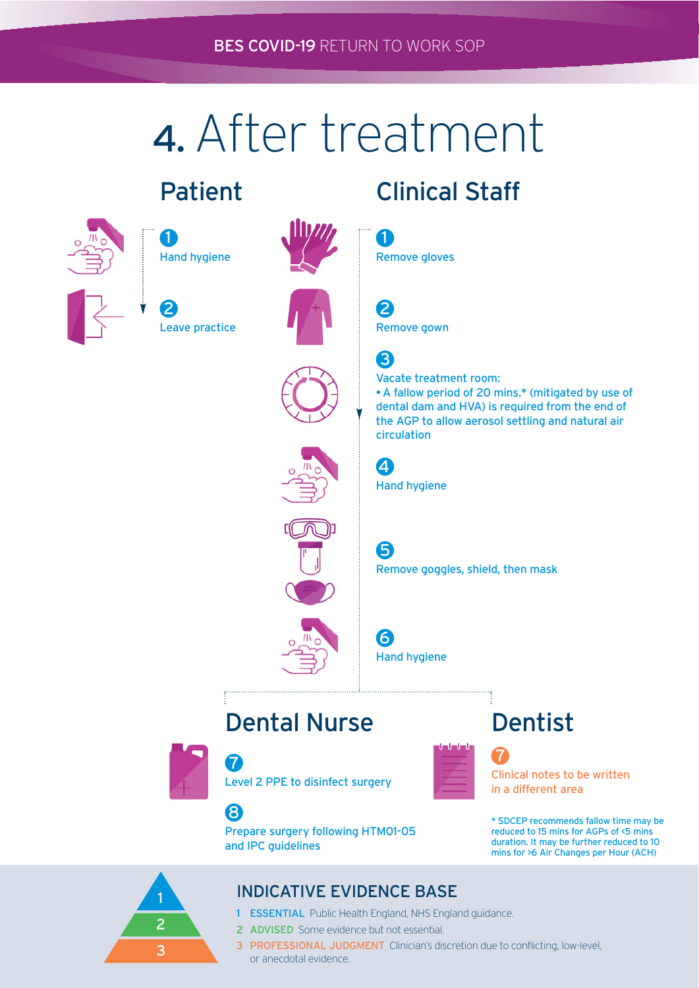# 4.After treatment

## Patient Clinical Staff



Hand hygiene 1

Leave practice

2



# 1

Remove gloves



Remove gown





Vacate treatment room: 3

• A fallow period of 20 mins.\* (mitigated by use of dental dam and HVA) is required from the end of the AGP to allow aerosol settling and natural air circulation

Hand hygiene 4

Remove goggles, shield, then mask 5



## Dental Nurse



7

8

Level 2 PPE to disinfect surgery

and IPC guidelines

Prepare surgery following HTM01-05



## Dentist

Clinical notes to be written in a different area 7

\* SDCEP recommends fallow time may be reduced to 15 mins for AGPs of <5 mins duration. It may be further reduced to 10 mins for >6 Air Changes per Hour (ACH)



- 1 **ESSENTIAL** Public Health England, NHS England guidance.
- 2 ADVISED Some evidence but not essential.
- 3 PROFESSIONAL JUDGMENT Clinician's discretion due to conflicting, low-level, or anecdotal evidence.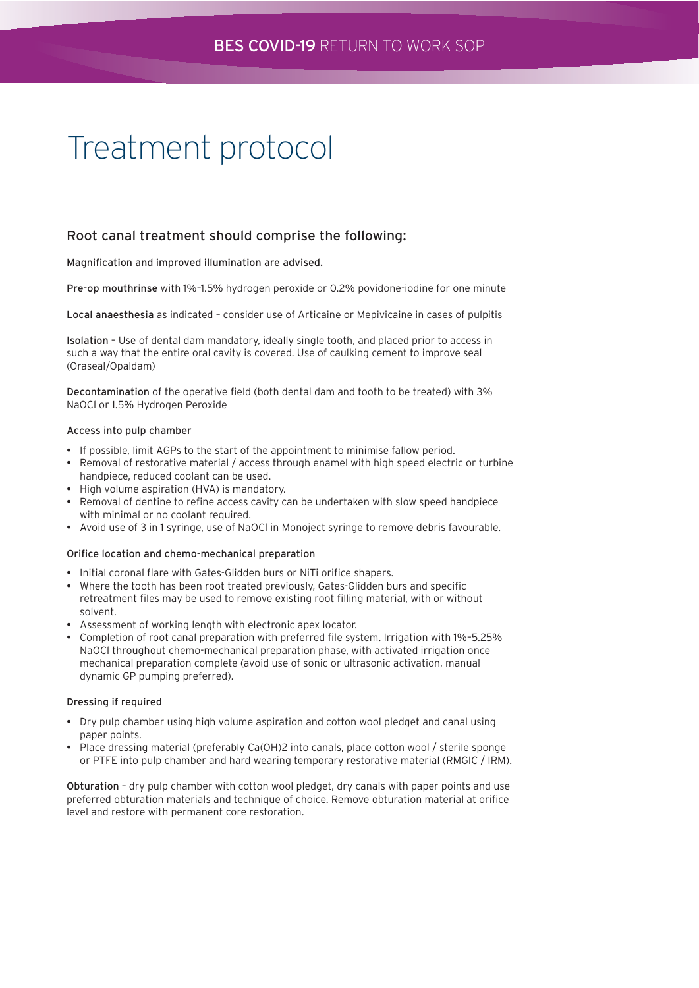## Treatment protocol

#### Root canal treatment should comprise the following:

#### Magnification and improved illumination are advised.

Pre-op mouthrinse with 1%–1.5% hydrogen peroxide or 0.2% povidone-iodine for one minute

Local anaesthesia as indicated – consider use of Articaine or Mepivicaine in cases of pulpitis

Isolation – Use of dental dam mandatory, ideally single tooth, and placed prior to access in such a way that the entire oral cavity is covered. Use of caulking cement to improve seal (Oraseal/Opaldam)

Decontamination of the operative field (both dental dam and tooth to be treated) with 3% NaOCl or 1.5% Hydrogen Peroxide

#### Access into pulp chamber

- If possible, limit AGPs to the start of the appointment to minimise fallow period.
- Removal of restorative material / access through enamel with high speed electric or turbine handpiece, reduced coolant can be used.
- High volume aspiration (HVA) is mandatory.
- Removal of dentine to refine access cavity can be undertaken with slow speed handpiece with minimal or no coolant required.
- Avoid use of 3 in 1 syringe, use of NaOCl in Monoject syringe to remove debris favourable.

#### Orifice location and chemo-mechanical preparation

- Initial coronal flare with Gates-Glidden burs or NiTi orifice shapers.
- Where the tooth has been root treated previously, Gates-Glidden burs and specific retreatment files may be used to remove existing root filling material, with or without solvent.
- Assessment of working length with electronic apex locator.
- Completion of root canal preparation with preferred file system. Irrigation with 1%–5.25% NaOCl throughout chemo-mechanical preparation phase, with activated irrigation once mechanical preparation complete (avoid use of sonic or ultrasonic activation, manual dynamic GP pumping preferred).

#### Dressing if required

- Dry pulp chamber using high volume aspiration and cotton wool pledget and canal using paper points.
- Place dressing material (preferably Ca(OH)2 into canals, place cotton wool / sterile sponge or PTFE into pulp chamber and hard wearing temporary restorative material (RMGIC / IRM).

Obturation – dry pulp chamber with cotton wool pledget, dry canals with paper points and use preferred obturation materials and technique of choice. Remove obturation material at orifice level and restore with permanent core restoration.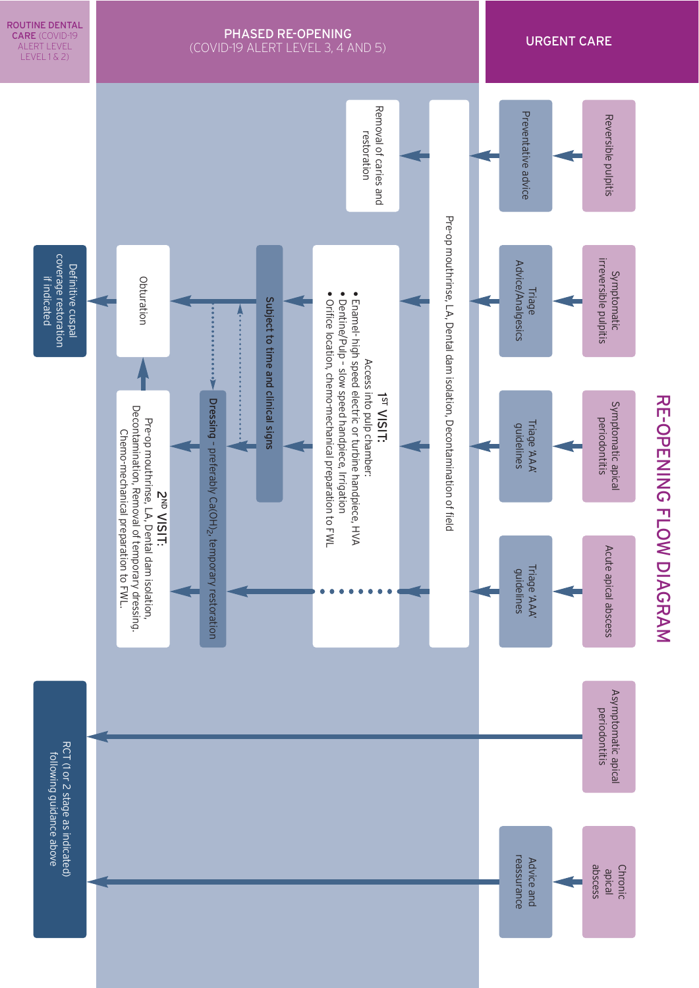



PHASED RE-OPENING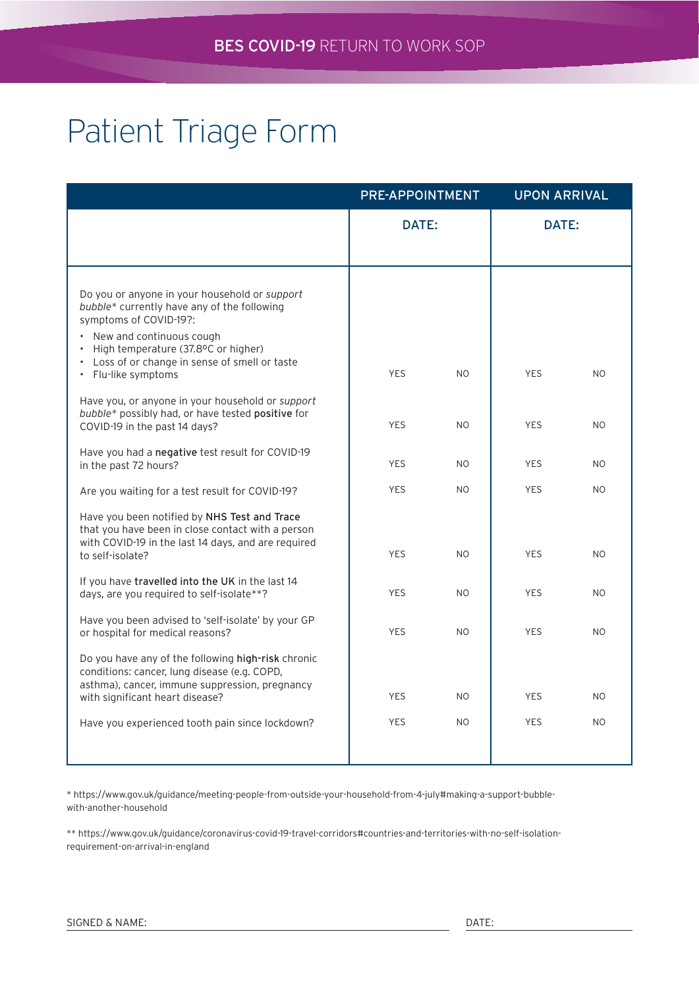# Patient Triage Form

|                                                                                                                                                                                                                                                                                                                                                                                                                                                                                                                                                                                                                                                                                                                                                                                                                                                                                                                                                                                                                                                                                                                                                                                | PRE-APPOINTMENT                                                                                                                                                                                                                                              | <b>UPON ARRIVAL</b>                                                                                                                                                                                                                                                           |
|--------------------------------------------------------------------------------------------------------------------------------------------------------------------------------------------------------------------------------------------------------------------------------------------------------------------------------------------------------------------------------------------------------------------------------------------------------------------------------------------------------------------------------------------------------------------------------------------------------------------------------------------------------------------------------------------------------------------------------------------------------------------------------------------------------------------------------------------------------------------------------------------------------------------------------------------------------------------------------------------------------------------------------------------------------------------------------------------------------------------------------------------------------------------------------|--------------------------------------------------------------------------------------------------------------------------------------------------------------------------------------------------------------------------------------------------------------|-------------------------------------------------------------------------------------------------------------------------------------------------------------------------------------------------------------------------------------------------------------------------------|
|                                                                                                                                                                                                                                                                                                                                                                                                                                                                                                                                                                                                                                                                                                                                                                                                                                                                                                                                                                                                                                                                                                                                                                                | <b>DATE:</b>                                                                                                                                                                                                                                                 | <b>DATE:</b>                                                                                                                                                                                                                                                                  |
| Do you or anyone in your household or support<br>bubble* currently have any of the following<br>symptoms of COVID-19?:<br>New and continuous cough<br>High temperature (37.8°C or higher)<br>Loss of or change in sense of smell or taste<br>Flu-like symptoms<br>$\bullet$<br>Have you, or anyone in your household or support<br>bubble* possibly had, or have tested positive for<br>COVID-19 in the past 14 days?<br>Have you had a negative test result for COVID-19<br>in the past 72 hours?<br>Are you waiting for a test result for COVID-19?<br>Have you been notified by NHS Test and Trace<br>that you have been in close contact with a person<br>with COVID-19 in the last 14 days, and are required<br>to self-isolate?<br>If you have travelled into the UK in the last 14<br>days, are you required to self-isolate**?<br>Have you been advised to 'self-isolate' by your GP<br>or hospital for medical reasons?<br>Do you have any of the following high-risk chronic<br>conditions: cancer, lung disease (e.g. COPD,<br>asthma), cancer, immune suppression, pregnancy<br>with significant heart disease?<br>Have you experienced tooth pain since lockdown? | <b>YES</b><br><b>NO</b><br><b>YES</b><br>N <sub>O</sub><br><b>YES</b><br>N <sub>O</sub><br><b>YES</b><br>N <sub>O</sub><br><b>YES</b><br>NO<br><b>YES</b><br><b>NO</b><br><b>YES</b><br><b>NO</b><br><b>YES</b><br><b>NO</b><br><b>YES</b><br>N <sub>O</sub> | <b>YES</b><br>N <sub>O</sub><br><b>YES</b><br>N <sub>O</sub><br><b>YES</b><br>N <sub>O</sub><br><b>YES</b><br>N <sub>O</sub><br><b>YES</b><br>N <sub>O</sub><br><b>YES</b><br><b>NO</b><br><b>YES</b><br><b>NO</b><br><b>YES</b><br>N <sub>O</sub><br><b>YES</b><br><b>NO</b> |
|                                                                                                                                                                                                                                                                                                                                                                                                                                                                                                                                                                                                                                                                                                                                                                                                                                                                                                                                                                                                                                                                                                                                                                                |                                                                                                                                                                                                                                                              |                                                                                                                                                                                                                                                                               |

\* https://www.gov.uk/guidance/meeting-people-from-outside-your-household-from-4-july#making-a-support-bubblewith-another-household

\*\* https://www.gov.uk/guidance/coronavirus-covid-19-travel-corridors#countries-and-territories-with-no-self-isolationrequirement-on-arrival-in-england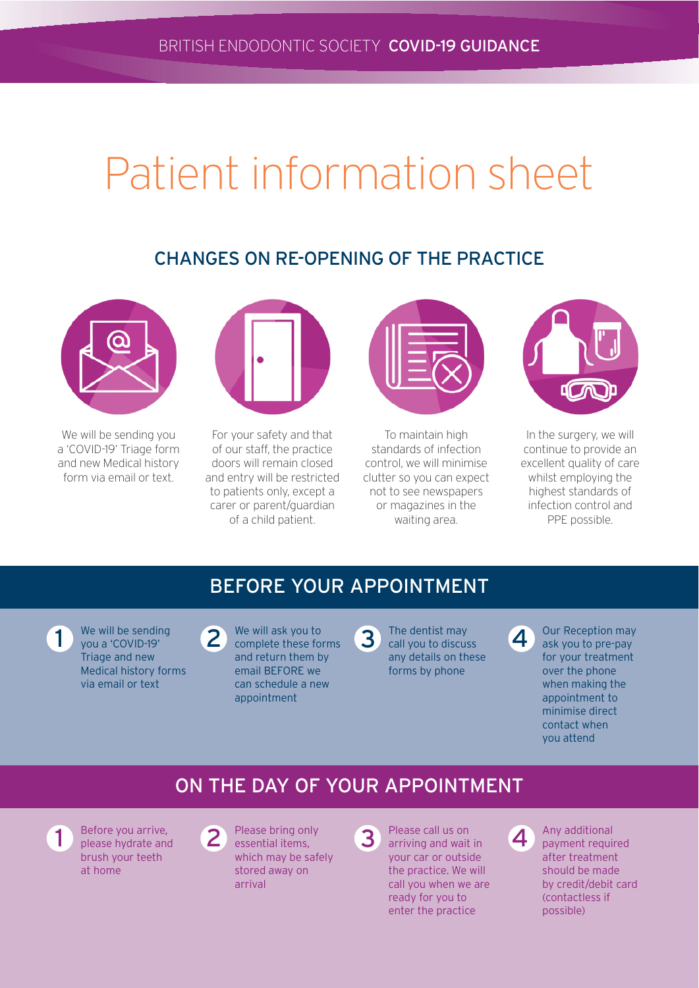# Patient information sheet

## CHANGES ON RE-OPENING OF THE PRACTICE



We will be sending you a 'COVID-19' Triage form and new Medical history form via email or text.



For your safety and that of our staff, the practice doors will remain closed and entry will be restricted to patients only, except a carer or parent/guardian of a child patient.



To maintain high standards of infection control, we will minimise clutter so you can expect not to see newspapers or magazines in the waiting area.



In the surgery, we will continue to provide an excellent quality of care whilst employing the highest standards of infection control and PPE possible.

### BEFORE YOUR APPOINTMENT



We will be sending you a 'COVID-19' Triage and new Medical history forms via email or text



We will ask you to  $\blacksquare$  We will be sending  $\blacksquare$  We will ask you to  $\blacksquare$  The dentist may you a 'COVID-19'  $\blacksquare$  Complete these forms  $\blacksquare$  Call you to discuss  $\blacksquare$ and return them by email BEFORE we can schedule a new appointment

The dentist may call you to discuss any details on these forms by phone



Our Reception may ask you to pre-pay for your treatment over the phone when making the appointment to minimise direct contact when you attend

## ON THE DAY OF YOUR APPOINTMENT



Before you arrive, please hydrate and brush your teeth at home



Please bring only essential items, which may be safely stored away on arrival



Please call us on arriving and wait in your car or outside the practice. We will call you when we are ready for you to enter the practice 1 Before you arrive, 2 Please bring only<br>please hydrate and 2 essential items, 3 arriving and wait in 4



Any additional payment required after treatment should be made by credit/debit card (contactless if possible)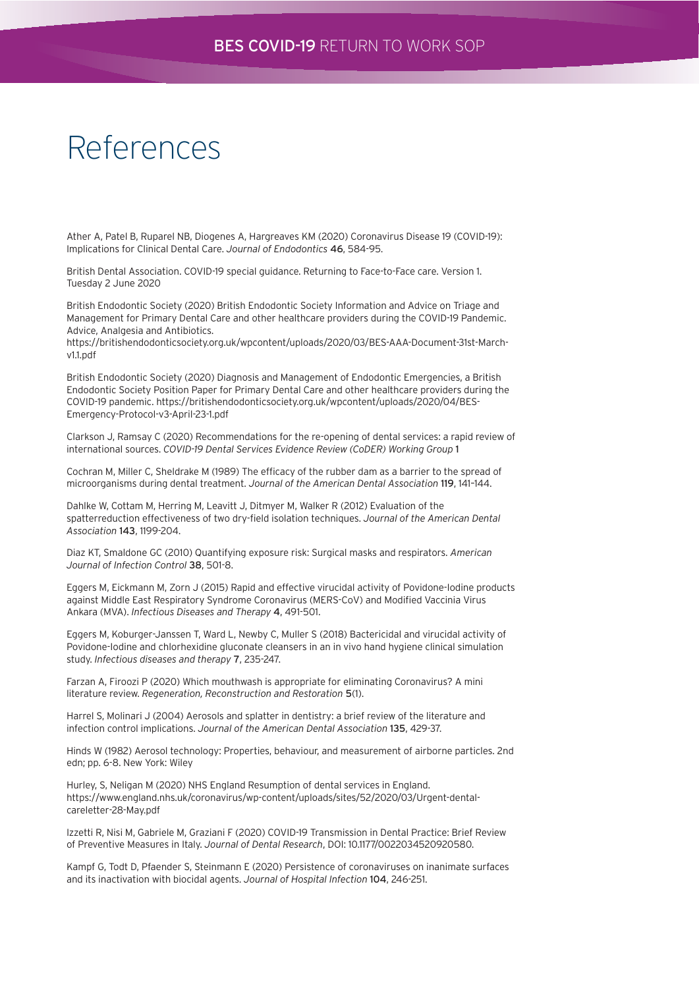## References

Ather A, Patel B, Ruparel NB, Diogenes A, Hargreaves KM (2020) Coronavirus Disease 19 (COVID-19): Implications for Clinical Dental Care. *Journal of Endodontics* 46, 584-95.

British Dental Association. COVID-19 special guidance. Returning to Face-to-Face care. Version 1. Tuesday 2 June 2020

British Endodontic Society (2020) British Endodontic Society Information and Advice on Triage and Management for Primary Dental Care and other healthcare providers during the COVID-19 Pandemic. Advice, Analgesia and Antibiotics.

https://britishendodonticsociety.org.uk/wpcontent/uploads/2020/03/BES-AAA-Document-31st-Marchv1.1.pdf

British Endodontic Society (2020) Diagnosis and Management of Endodontic Emergencies, a British Endodontic Society Position Paper for Primary Dental Care and other healthcare providers during the COVID-19 pandemic. https://britishendodonticsociety.org.uk/wpcontent/uploads/2020/04/BES-Emergency-Protocol-v3-April-23-1.pdf

Clarkson J, Ramsay C (2020) Recommendations for the re-opening of dental services: a rapid review of international sources. *COVID-19 Dental Services Evidence Review (CoDER) Working Group* 1

Cochran M, Miller C, Sheldrake M (1989) The efficacy of the rubber dam as a barrier to the spread of microorganisms during dental treatment. *Journal of the American Dental Association* 119, 141–144.

Dahlke W, Cottam M, Herring M, Leavitt J, Ditmyer M, Walker R (2012) Evaluation of the spatterreduction effectiveness of two dry-field isolation techniques. *Journal of the American Dental Association* 143, 1199-204.

Diaz KT, Smaldone GC (2010) Quantifying exposure risk: Surgical masks and respirators. *American Journal of Infection Control* 38, 501-8.

Eggers M, Eickmann M, Zorn J (2015) Rapid and effective virucidal activity of Povidone-Iodine products against Middle East Respiratory Syndrome Coronavirus (MERS-CoV) and Modified Vaccinia Virus Ankara (MVA). *Infectious Diseases and Therapy* 4, 491-501.

Eggers M, Koburger-Janssen T, Ward L, Newby C, Muller S (2018) Bactericidal and virucidal activity of Povidone-Iodine and chlorhexidine gluconate cleansers in an in vivo hand hygiene clinical simulation study. *Infectious diseases and therapy* 7, 235-247.

Farzan A, Firoozi P (2020) Which mouthwash is appropriate for eliminating Coronavirus? A mini literature review. *Regeneration, Reconstruction and Restoration* 5(1).

Harrel S, Molinari J (2004) Aerosols and splatter in dentistry: a brief review of the literature and infection control implications. *Journal of the American Dental Association* 135, 429-37.

Hinds W (1982) Aerosol technology: Properties, behaviour, and measurement of airborne particles. 2nd edn; pp. 6-8. New York: Wiley

Hurley, S, Neligan M (2020) NHS England Resumption of dental services in England. https://www.england.nhs.uk/coronavirus/wp-content/uploads/sites/52/2020/03/Urgent-dentalcareletter-28-May.pdf

Izzetti R, Nisi M, Gabriele M, Graziani F (2020) COVID-19 Transmission in Dental Practice: Brief Review of Preventive Measures in Italy. *Journal of Dental Research*, DOI: 10.1177/0022034520920580.

Kampf G, Todt D, Pfaender S, Steinmann E (2020) Persistence of coronaviruses on inanimate surfaces and its inactivation with biocidal agents. *Journal of Hospital Infection* 104, 246-251.